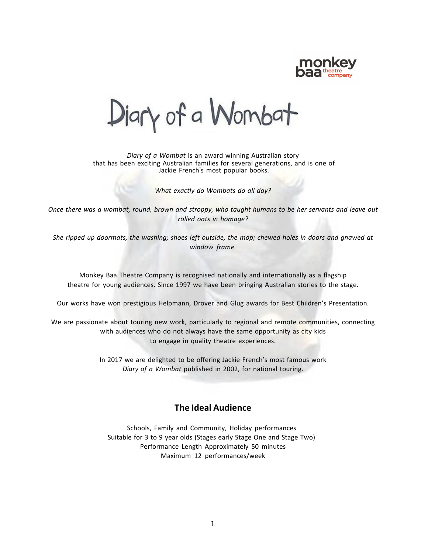

Diary of a Wombat

*Diary of a Wombat* is an award winning Australian story that has been exciting Australian families for several generations, and is one of Jackie French's most popular books.

*What exactly do Wombats do all day?*

Once there was a wombat, round, brown and stroppy, who taught humans to be her servants and leave out *rolled oats in homage?*

She ripped up doormats, the washing; shoes left outside, the mop; chewed holes in doors and gnawed at *window frame.*

Monkey Baa Theatre Company is recognised nationally and internationally as a flagship theatre for young audiences. Since 1997 we have been bringing Australian stories to the stage.

Our works have won prestigious Helpmann, Drover and Glug awards for Best Children's Presentation.

We are passionate about touring new work, particularly to regional and remote communities, connecting with audiences who do not always have the same opportunity as city kids to engage in quality theatre experiences.

> In 2017 we are delighted to be offering Jackie French's most famous work *Diary of a Wombat* published in 2002, for national touring.

### **The Ideal Audience**

Schools, Family and Community, Holiday performances Suitable for 3 to 9 year olds (Stages early Stage One and Stage Two) Performance Length Approximately 50 minutes Maximum 12 performances/week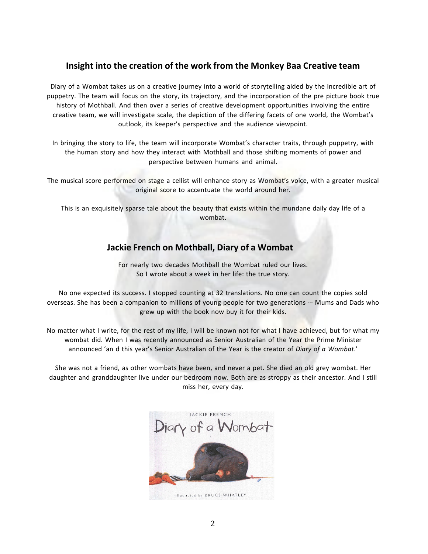# **Insight into the creation of the work from the Monkey Baa Creative team**

Diary of a Wombat takes us on a creative journey into a world of storytelling aided by the incredible art of puppetry. The team will focus on the story, its trajectory, and the incorporation of the pre picture book true history of Mothball. And then over a series of creative development opportunities involving the entire creative team, we will investigate scale, the depiction of the differing facets of one world, the Wombat's outlook, its keeper's perspective and the audience viewpoint.

In bringing the story to life, the team will incorporate Wombat's character traits, through puppetry, with the human story and how they interact with Mothball and those shifting moments of power and perspective between humans and animal.

The musical score performed on stage a cellist will enhance story as Wombat's voice, with a greater musical original score to accentuate the world around her.

This is an exquisitely sparse tale about the beauty that exists within the mundane daily day life of a wombat.

# **Jackie French on Mothball, Diary of a Wombat**

For nearly two decades Mothball the Wombat ruled our lives. So I wrote about a week in her life: the true story.

No one expected its success. I stopped counting at 32 translations. No one can count the copies sold overseas. She has been a companion to millions of young people for two generations --- Mums and Dads who grew up with the book now buy it for their kids.

No matter what I write, for the rest of my life, I will be known not for what I have achieved, but for what my wombat did. When I was recently announced as Senior Australian of the Year the Prime Minister announced 'an d this year's Senior Australian of the Year is the creator of *Diary of a Wombat*.'

She was not a friend, as other wombats have been, and never a pet. She died an old grey wombat. Her daughter and granddaughter live under our bedroom now. Both are as stroppy as their ancestor. And I still miss her, every day.

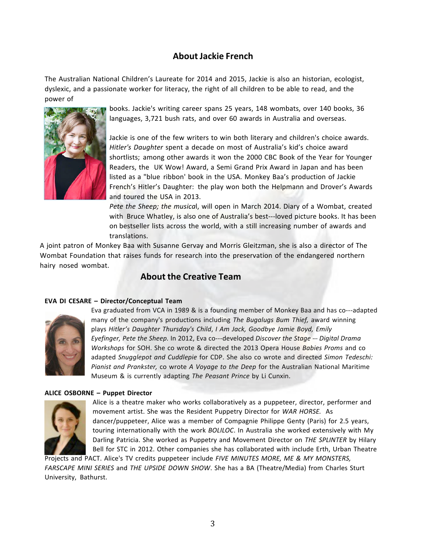# **About Jackie French**

The Australian National Children's Laureate for 2014 and 2015, Jackie is also an historian, ecologist, dyslexic, and a passionate worker for literacy, the right of all children to be able to read, and the power of



books. Jackie's writing career spans 25 years, 148 wombats, over 140 books, 36 languages, 3,721 bush rats, and over 60 awards in Australia and overseas.

Jackie is one of the few writers to win both literary and children's choice awards. *Hitler's Daughter* spent a decade on most of Australia's kid's choice award shortlists; among other awards it won the 2000 CBC Book of the Year for Younger Readers, the UK Wow! Award, a Semi Grand Prix Award in Japan and has been listed as a "blue ribbon' book in the USA. Monkey Baa's production of Jackie French's Hitler's Daughter: the play won both the Helpmann and Drover's Awards and toured the USA in 2013.

*Pete the Sheep; the musica*l, will open in March 2014. Diary of a Wombat, created with Bruce Whatley, is also one of Australia's best---loved picture books. It has been on bestseller lists across the world, with a still increasing number of awards and translations.

A joint patron of Monkey Baa with Susanne Gervay and Morris Gleitzman, she is also a director of The Wombat Foundation that raises funds for research into the preservation of the endangered northern hairy nosed wombat.

# **About the Creative Team**

#### **EVA DI CESARE – Director/Conceptual Team**



Eva graduated from VCA in 1989 & is a founding member of Monkey Baa and has co---adapted many of the company's productions including *The Bugalugs Bum Thief,* award winning plays *Hitler's Daughter Thursday's Child*, *I Am Jack, Goodbye Jamie Boyd, Emily Eyefinger, Pete the Sheep.* In 2012, Eva co---developed *Discover the Stage --- Digital Drama Workshops* for SOH. She co wrote & directed the 2013 Opera House *Babies Proms* and co adapted *Snugglepot and Cuddlepie* for CDP. She also co wrote and directed *Simon Tedeschi: Pianist and Prankster,* co wrote *A Voyage to the Deep* for the Australian National Maritime Museum & is currently adapting *The Peasant Prince* by Li Cunxin.

#### **ALICE OSBORNE – Puppet Director**



Alice is a theatre maker who works collaboratively as a puppeteer, director, performer and movement artist. She was the Resident Puppetry Director for *WAR HORSE.*  As dancer/puppeteer, Alice was a member of Compagnie Philippe Genty (Paris) for 2.5 years, touring internationally with the work *BOLILOC*. In Australia she worked extensively with My Darling Patricia. She worked as Puppetry and Movement Director on *THE SPLINTER* by Hilary Bell for STC in 2012. Other companies she has collaborated with include Erth, Urban Theatre

Projects and PACT. Alice's TV credits puppeteer include *FIVE MINUTES MORE, ME & MY MONSTERS, FARSCAPE MINI SERIES* and *THE UPSIDE DOWN SHOW*. She has a BA (Theatre/Media) from Charles Sturt University, Bathurst.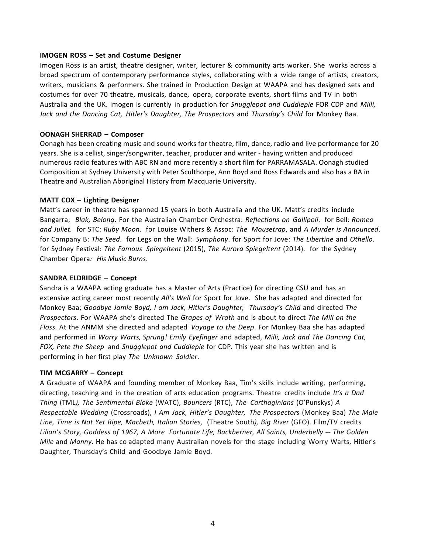#### **IMOGEN ROSS – Set and Costume Designer**

Imogen Ross is an artist, theatre designer, writer, lecturer & community arts worker. She works across a broad spectrum of contemporary performance styles, collaborating with a wide range of artists, creators, writers, musicians & performers. She trained in Production Design at WAAPA and has designed sets and costumes for over 70 theatre, musicals, dance, opera, corporate events, short films and TV in both Australia and the UK. Imogen is currently in production for *Snugglepot and Cuddlepie* FOR CDP and *Milli, Jack and the Dancing Cat, Hitler's Daughter, The Prospectors* and *Thursday's Child* for Monkey Baa.

#### **OONAGH SHERRAD – Composer**

Oonagh has been creating music and sound works for theatre, film, dance, radio and live performance for 20 years. She is a cellist, singer/songwriter, teacher, producer and writer - having written and produced numerous radio features with ABC RN and more recently a short film for PARRAMASALA. Oonagh studied Composition at Sydney University with Peter Sculthorpe, Ann Boyd and Ross Edwards and also has a BA in Theatre and Australian Aboriginal History from Macquarie University.

#### **MATT COX – Lighting Designer**

Matt's career in theatre has spanned 15 years in both Australia and the UK. Matt's credits include Bangarra; *Blak, Belong*. For the Australian Chamber Orchestra: *Reflections on Gallipoli*. for Bell: *Romeo and Juliet.*  for STC: *Ruby Moon.*  for Louise Withers & Assoc: *The Mousetrap*, and *A Murder is Announced*. for Company B: *The Seed*. for Legs on the Wall: *Symphony*. for Sport for Jove: *The Libertine* and *Othello*. for Sydney Festival: *The Famous Spiegeltent* (2015), *The Aurora Spiegeltent* (2014). for the Sydney Chamber Opera*: His Music Burns*.

#### **SANDRA ELDRIDGE – Concept**

Sandra is a WAAPA acting graduate has a Master of Arts (Practice) for directing CSU and has an extensive acting career most recently *All's Well* for Sport for Jove. She has adapted and directed for Monkey Baa; *Goodbye Jamie Boyd, I am Jack, Hitler's Daughter, Thursday's Child* and directed *The Prospectors*. For WAAPA she's directed The *Grapes of Wrath* and is about to direct *The Mill on the Floss*. At the ANMM she directed and adapted *Voyage to the Deep*. For Monkey Baa she has adapted and performed in *Worry Warts, Sprung! Emily Eyefinger* and adapted, *Milli, Jack and The Dancing Cat, FOX, Pete the Sheep* and *Snugglepot and Cuddlepie* for CDP*.* This year she has written and is performing in her first play *The Unknown Soldier*.

#### **TIM MCGARRY – Concept**

A Graduate of WAAPA and founding member of Monkey Baa, Tim's skills include writing, performing, directing, teaching and in the creation of arts education programs. Theatre credits include *It's a Dad Thing* (TML*), The Sentimental Bloke* (WATC), *Bouncers* (RTC), *The Carthaginians* (O'Punskys) *A Respectable Wedding* (Crossroads), *I Am Jack, Hitler's Daughter, The Prospectors* (Monkey Baa) *The Male Line, Time is Not Yet Ripe, Macbeth, Italian Stories,* (Theatre South*), Big River* (GFO). Film/TV credits *Lilian's Story, Goddess of 1967, A More Fortunate Life, Backberner, All Saints, Underbelly --- The Golden Mile* and *Manny*. He has co adapted many Australian novels for the stage including Worry Warts, Hitler's Daughter, Thursday's Child and Goodbye Jamie Boyd.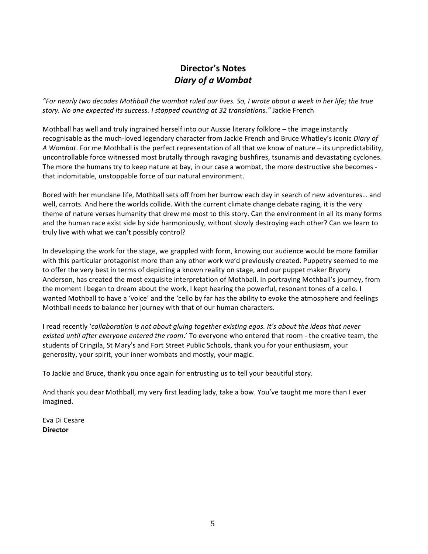# **Director's Notes** *Diary of a Wombat*

"For nearly two decades Mothball the wombat ruled our lives. So, I wrote about a week in her life; the true *story. No one expected its success. I stopped counting at 32 translations."* Jackie French

Mothball has well and truly ingrained herself into our Aussie literary folklore – the image instantly recognisable as the much-loved legendary character from Jackie French and Bruce Whatley's iconic *Diary of A Wombat*. For me Mothball is the perfect representation of all that we know of nature – its unpredictability, uncontrollable force witnessed most brutally through ravaging bushfires, tsunamis and devastating cyclones. The more the humans try to keep nature at bay, in our case a wombat, the more destructive she becomes that indomitable, unstoppable force of our natural environment.

Bored with her mundane life, Mothball sets off from her burrow each day in search of new adventures… and well, carrots. And here the worlds collide. With the current climate change debate raging, it is the very theme of nature verses humanity that drew me most to this story. Can the environment in all its many forms and the human race exist side by side harmoniously, without slowly destroying each other? Can we learn to truly live with what we can't possibly control?

In developing the work for the stage, we grappled with form, knowing our audience would be more familiar with this particular protagonist more than any other work we'd previously created. Puppetry seemed to me to offer the very best in terms of depicting a known reality on stage, and our puppet maker Bryony Anderson, has created the most exquisite interpretation of Mothball. In portraying Mothball's journey, from the moment I began to dream about the work, I kept hearing the powerful, resonant tones of a cello. I wanted Mothball to have a 'voice' and the 'cello by far has the ability to evoke the atmosphere and feelings Mothball needs to balance her journey with that of our human characters.

I read recently '*collaboration is not about gluing together existing egos. It's about the ideas that never existed until after everyone entered the room*.' To everyone who entered that room - the creative team, the students of Cringila, St Mary's and Fort Street Public Schools, thank you for your enthusiasm, your generosity, your spirit, your inner wombats and mostly, your magic.

To Jackie and Bruce, thank you once again for entrusting us to tell your beautiful story.

And thank you dear Mothball, my very first leading lady, take a bow. You've taught me more than I ever imagined.

Eva Di Cesare **Director**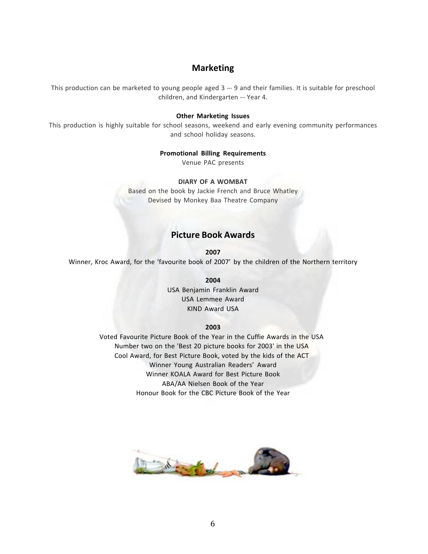## **Marketing**

This production can be marketed to young people aged 3 --- 9 and their families. It is suitable for preschool children, and Kindergarten --- Year 4.

#### **Other Marketing Issues**

This production is highly suitable for school seasons, weekend and early evening community performances and school holiday seasons.

#### **Promotional Billing Requirements**

Venue PAC presents

#### **DIARY OF A WOMBAT**

Based on the book by Jackie French and Bruce Whatley Devised by Monkey Baa Theatre Company

## **Picture Book Awards**

**2007** Winner, Kroc Award, for the 'favourite book of 2007' by the children of the Northern territory

> **2004** USA Benjamin Franklin Award USA Lemmee Award KIND Award USA

#### **2003**

Voted Favourite Picture Book of the Year in the Cuffie Awards in the USA Number two on the 'Best 20 picture books for 2003' in the USA Cool Award, for Best Picture Book, voted by the kids of the ACT Winner Young Australian Readers' Award Winner KOALA Award for Best Picture Book ABA/AA Nielsen Book of the Year Honour Book for the CBC Picture Book of the Year